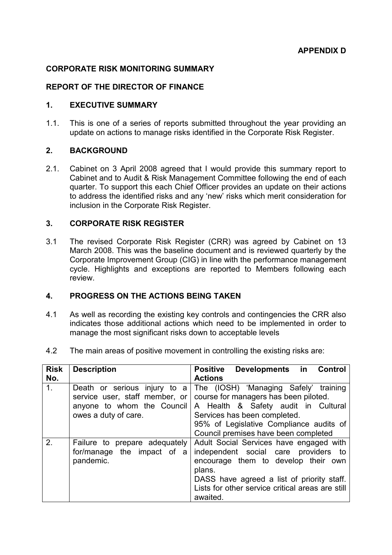### CORPORATE RISK MONITORING SUMMARY

### REPORT OF THE DIRECTOR OF FINANCE

### 1. EXECUTIVE SUMMARY

1.1. This is one of a series of reports submitted throughout the year providing an update on actions to manage risks identified in the Corporate Risk Register.

### 2. BACKGROUND

2.1. Cabinet on 3 April 2008 agreed that I would provide this summary report to Cabinet and to Audit & Risk Management Committee following the end of each quarter. To support this each Chief Officer provides an update on their actions to address the identified risks and any 'new' risks which merit consideration for inclusion in the Corporate Risk Register.

### 3. CORPORATE RISK REGISTER

3.1 The revised Corporate Risk Register (CRR) was agreed by Cabinet on 13 March 2008. This was the baseline document and is reviewed quarterly by the Corporate Improvement Group (CIG) in line with the performance management cycle. Highlights and exceptions are reported to Members following each review.

### 4. PROGRESS ON THE ACTIONS BEING TAKEN

- 4.1 As well as recording the existing key controls and contingencies the CRR also indicates those additional actions which need to be implemented in order to manage the most significant risks down to acceptable levels
- 4.2 The main areas of positive movement in controlling the existing risks are:

| <b>Risk</b>    | <b>Description</b>                                                                                                   | <b>Positive</b><br>Control<br><b>Developments</b><br>in                                                                                                                                                                                           |
|----------------|----------------------------------------------------------------------------------------------------------------------|---------------------------------------------------------------------------------------------------------------------------------------------------------------------------------------------------------------------------------------------------|
| No.            |                                                                                                                      | <b>Actions</b>                                                                                                                                                                                                                                    |
| 1 <sub>1</sub> | Death or serious injury to a<br>service user, staff member, or<br>anyone to whom the Council<br>owes a duty of care. | The (IOSH) 'Managing Safely' training<br>course for managers has been piloted.<br>A Health & Safety audit in Cultural<br>Services has been completed.<br>95% of Legislative Compliance audits of<br>Council premises have been completed          |
| 2.             | Failure to prepare adequately<br>for/manage the impact of a<br>pandemic.                                             | Adult Social Services have engaged with<br>independent social care<br>providers to<br>encourage them to develop their own<br>plans.<br>DASS have agreed a list of priority staff.<br>Lists for other service critical areas are still<br>awaited. |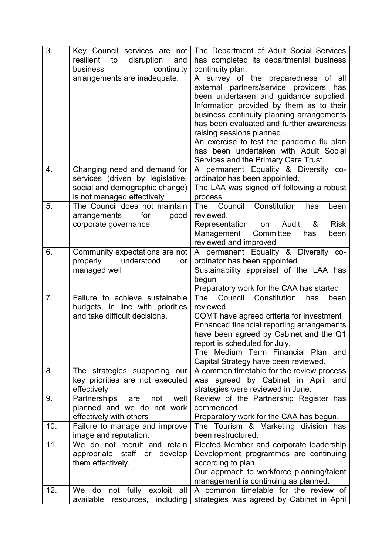| 3.             | Key Council services are not<br>to<br>resilient<br>disruption<br>and<br>continuity<br>business<br>arrangements are inadequate.   | The Department of Adult Social Services<br>has completed its departmental business<br>continuity plan.<br>A survey of the preparedness of all<br>external partners/service providers<br>has<br>been undertaken and guidance supplied.<br>Information provided by them as to their<br>business continuity planning arrangements<br>has been evaluated and further awareness<br>raising sessions planned.<br>An exercise to test the pandemic flu plan<br>has been undertaken with Adult Social<br>Services and the Primary Care Trust. |
|----------------|----------------------------------------------------------------------------------------------------------------------------------|---------------------------------------------------------------------------------------------------------------------------------------------------------------------------------------------------------------------------------------------------------------------------------------------------------------------------------------------------------------------------------------------------------------------------------------------------------------------------------------------------------------------------------------|
| 4.             | Changing need and demand for<br>services (driven by legislative,<br>social and demographic change)<br>is not managed effectively | A permanent Equality & Diversity co-<br>ordinator has been appointed.<br>The LAA was signed off following a robust<br>process.                                                                                                                                                                                                                                                                                                                                                                                                        |
| 5.             | The Council does not maintain<br>for<br>arrangements<br>good<br>corporate governance                                             | Council Constitution<br><b>The</b><br>has<br>been<br>reviewed.<br><b>Risk</b><br>Representation<br>Audit<br>&<br>on<br>Management<br>Committee<br>has<br>been<br>reviewed and improved                                                                                                                                                                                                                                                                                                                                                |
| 6.             | Community expectations are not<br>properly<br>understood<br>or<br>managed well                                                   | A permanent Equality & Diversity co-<br>ordinator has been appointed.<br>Sustainability appraisal of the LAA has<br>begun<br>Preparatory work for the CAA has started                                                                                                                                                                                                                                                                                                                                                                 |
| 7 <sub>1</sub> | Failure to achieve sustainable<br>budgets, in line with priorities<br>and take difficult decisions.                              | Council<br>Constitution<br>The<br>has<br>been<br>reviewed.<br>COMT have agreed criteria for investment<br>Enhanced financial reporting arrangements<br>have been agreed by Cabinet and the Q1<br>report is scheduled for July.<br>The Medium Term Financial Plan and<br>Capital Strategy have been reviewed.                                                                                                                                                                                                                          |
| 8.             | The strategies supporting our<br>key priorities are not executed<br>effectively                                                  | A common timetable for the review process<br>was agreed by Cabinet in April<br>and<br>strategies were reviewed in June.                                                                                                                                                                                                                                                                                                                                                                                                               |
| 9.             | Partnerships<br>not<br>well<br>are<br>planned and we do not work<br>effectively with others                                      | Review of the Partnership Register has<br>commenced<br>Preparatory work for the CAA has begun.                                                                                                                                                                                                                                                                                                                                                                                                                                        |
| 10.            | Failure to manage and improve<br>image and reputation.                                                                           | The Tourism & Marketing division has<br>been restructured.                                                                                                                                                                                                                                                                                                                                                                                                                                                                            |
| 11.            | We do not recruit and retain<br>appropriate<br>staff or develop<br>them effectively.                                             | Elected Member and corporate leadership<br>Development programmes are continuing<br>according to plan.<br>Our approach to workforce planning/talent<br>management is continuing as planned.                                                                                                                                                                                                                                                                                                                                           |
| 12.            | not fully exploit all<br>We do<br>available<br>including<br>resources,                                                           | A common timetable for the review of<br>strategies was agreed by Cabinet in April                                                                                                                                                                                                                                                                                                                                                                                                                                                     |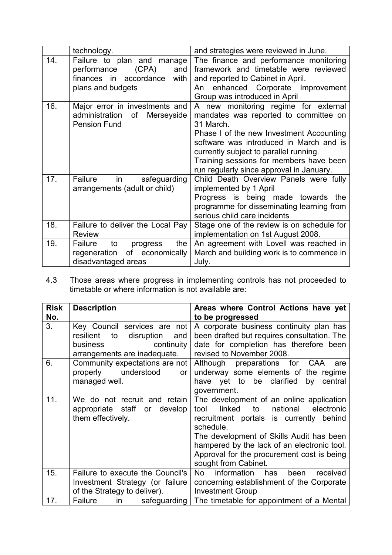|     | technology.                                                                                                         | and strategies were reviewed in June.                                                                                                                                                                                                                                                                              |
|-----|---------------------------------------------------------------------------------------------------------------------|--------------------------------------------------------------------------------------------------------------------------------------------------------------------------------------------------------------------------------------------------------------------------------------------------------------------|
| 14. | Failure to plan and manage<br>(CPA)<br>performance<br>and<br>finances in<br>accordance<br>with<br>plans and budgets | The finance and performance monitoring<br>framework and timetable were reviewed<br>and reported to Cabinet in April.<br>enhanced Corporate Improvement<br>An<br>Group was introduced in April                                                                                                                      |
| 16. | Major error in investments and<br>administration<br>Merseyside<br>of<br><b>Pension Fund</b>                         | A new monitoring regime for external<br>mandates was reported to committee on<br>31 March.<br>Phase I of the new Investment Accounting<br>software was introduced in March and is<br>currently subject to parallel running.<br>Training sessions for members have been<br>run regularly since approval in January. |
| 17. | Failure<br>safeguarding<br>in<br>arrangements (adult or child)                                                      | Child Death Overview Panels were fully<br>implemented by 1 April<br>Progress is being made towards the<br>programme for disseminating learning from<br>serious child care incidents                                                                                                                                |
| 18. | Failure to deliver the Local Pay<br><b>Review</b>                                                                   | Stage one of the review is on schedule for<br>implementation on 1st August 2008.                                                                                                                                                                                                                                   |
| 19. | the<br>Failure<br>to<br>progress<br>of<br>regeneration<br>economically<br>disadvantaged areas                       | An agreement with Lovell was reached in<br>March and building work is to commence in<br>July.                                                                                                                                                                                                                      |

4.3 Those areas where progress in implementing controls has not proceeded to timetable or where information is not available are:

| <b>Risk</b> | <b>Description</b>                                                                                                             | Areas where Control Actions have yet                                                                                                                                                                                                                                                                                |
|-------------|--------------------------------------------------------------------------------------------------------------------------------|---------------------------------------------------------------------------------------------------------------------------------------------------------------------------------------------------------------------------------------------------------------------------------------------------------------------|
| No.         |                                                                                                                                | to be progressed                                                                                                                                                                                                                                                                                                    |
| 3.          | Key Council services are not<br>resilient<br>disruption<br>to<br>and<br>business<br>continuity<br>arrangements are inadequate. | A corporate business continuity plan has<br>been drafted but requires consultation. The<br>date for completion has therefore been<br>revised to November 2008.                                                                                                                                                      |
| 6.          | Community expectations are not<br>properly understood<br>or<br>managed well.                                                   | Although preparations for CAA are<br>underway some elements of the regime<br>have yet to be clarified by central<br>government.                                                                                                                                                                                     |
| 11.         | We do not recruit and retain<br>appropriate staff or develop<br>them effectively.                                              | The development of an online application<br>linked<br>to<br>national<br>electronic<br>tool<br>recruitment portals is currently behind<br>schedule.<br>The development of Skills Audit has been<br>hampered by the lack of an electronic tool.<br>Approval for the procurement cost is being<br>sought from Cabinet. |
| 15.         | Failure to execute the Council's<br>Investment Strategy (or failure<br>of the Strategy to deliver).                            | information has<br>No<br>received<br>been<br>concerning establishment of the Corporate<br><b>Investment Group</b>                                                                                                                                                                                                   |
| 17.         | Failure<br>$\mathsf{in}$<br>safeguarding                                                                                       | The timetable for appointment of a Mental                                                                                                                                                                                                                                                                           |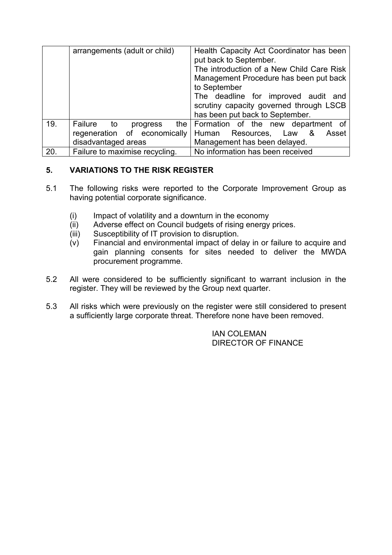|     | arrangements (adult or child)                                                                | Health Capacity Act Coordinator has been<br>put back to September.<br>The introduction of a New Child Care Risk<br>Management Procedure has been put back<br>to September<br>The deadline for improved audit and<br>scrutiny capacity governed through LSCB<br>has been put back to September. |
|-----|----------------------------------------------------------------------------------------------|------------------------------------------------------------------------------------------------------------------------------------------------------------------------------------------------------------------------------------------------------------------------------------------------|
| 19. | Failure to<br>the $\vert$<br>progress<br>regeneration of economically<br>disadvantaged areas | Formation of the new department of<br>Human Resources,<br>Law<br>&<br>Asset<br>Management has been delayed.                                                                                                                                                                                    |
| 20. | Failure to maximise recycling.                                                               | No information has been received                                                                                                                                                                                                                                                               |

# 5. VARIATIONS TO THE RISK REGISTER

- 5.1 The following risks were reported to the Corporate Improvement Group as having potential corporate significance.
	- (i) Impact of volatility and a downturn in the economy
	- (ii) Adverse effect on Council budgets of rising energy prices.
	- (iii) Susceptibility of IT provision to disruption.
	- $\overrightarrow{(v)}$  Financial and environmental impact of delay in or failure to acquire and gain planning consents for sites needed to deliver the MWDA procurement programme.
- 5.2 All were considered to be sufficiently significant to warrant inclusion in the register. They will be reviewed by the Group next quarter.
- 5.3 All risks which were previously on the register were still considered to present a sufficiently large corporate threat. Therefore none have been removed.

IAN COLEMAN DIRECTOR OF FINANCE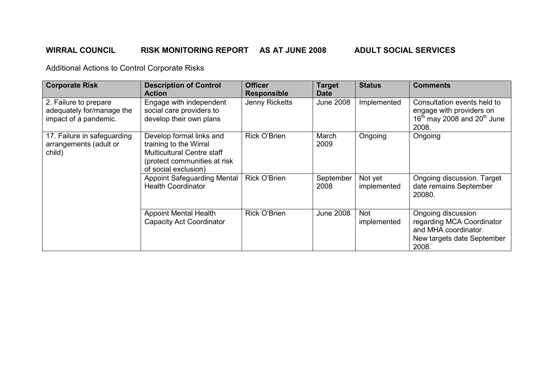# WIRRAL COUNCIL RISK MONITORING REPORT AS AT JUNE 2008 ADULT SOCIAL SERVICES

| <b>Corporate Risk</b>                                                       | <b>Description of Control</b><br><b>Action</b>                                                                                                  | <b>Officer</b><br><b>Responsible</b> | <b>Target</b><br><b>Date</b> | <b>Status</b>             | <b>Comments</b>                                                                                                |
|-----------------------------------------------------------------------------|-------------------------------------------------------------------------------------------------------------------------------------------------|--------------------------------------|------------------------------|---------------------------|----------------------------------------------------------------------------------------------------------------|
| 2. Failure to prepare<br>adequately for/manage the<br>impact of a pandemic. | Engage with independent<br>social care providers to<br>develop their own plans                                                                  | Jenny Ricketts                       | <b>June 2008</b>             | Implemented               | Consultation events held to<br>engage with providers on<br>$16th$ may 2008 and 20 <sup>th</sup> June<br>2008.  |
| 17. Failure in safeguarding<br>arrangements (adult or<br>child)             | Develop formal links and<br>training to the Wirral<br><b>Multicultural Centre staff</b><br>(protect communities at risk<br>of social exclusion) | Rick O'Brien                         | March<br>2009                | Ongoing                   | Ongoing                                                                                                        |
|                                                                             | <b>Appoint Safeguarding Mental</b><br><b>Health Coordinator</b>                                                                                 | Rick O'Brien                         | September<br>2008            | Not yet<br>implemented    | Ongoing discussion. Target<br>date remains September<br>20080.                                                 |
|                                                                             | <b>Appoint Mental Health</b><br><b>Capacity Act Coordinator</b>                                                                                 | Rick O'Brien                         | <b>June 2008</b>             | <b>Not</b><br>implemented | Ongoing discussion<br>regarding MCA Coordinator<br>and MHA coordinator.<br>New targets date September<br>2008. |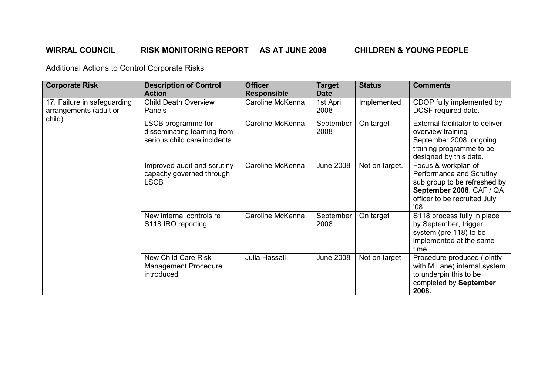# WIRRAL COUNCIL RISK MONITORING REPORT AS AT JUNE 2008 CHILDREN & YOUNG PEOPLE

| <b>Corporate Risk</b>                                 | <b>Description of Control</b><br><b>Action</b>                                    | <b>Officer</b><br><b>Responsible</b> | <b>Target</b><br><b>Date</b> | <b>Status</b>  | <b>Comments</b>                                                                                                                                     |
|-------------------------------------------------------|-----------------------------------------------------------------------------------|--------------------------------------|------------------------------|----------------|-----------------------------------------------------------------------------------------------------------------------------------------------------|
| 17. Failure in safeguarding<br>arrangements (adult or | <b>Child Death Overview</b><br>Panels                                             | Caroline McKenna                     | 1st April<br>2008            | Implemented    | CDOP fully implemented by<br>DCSF required date.                                                                                                    |
| child)                                                | LSCB programme for<br>disseminating learning from<br>serious child care incidents | Caroline McKenna                     | September<br>2008            | On target      | External facilitator to deliver<br>overview training -<br>September 2008, ongoing<br>training programme to be<br>designed by this date.             |
|                                                       | Improved audit and scrutiny<br>capacity governed through<br><b>LSCB</b>           | Caroline McKenna                     | <b>June 2008</b>             | Not on target. | Focus & workplan of<br>Performance and Scrutiny<br>sub group to be refreshed by<br>September 2008. CAF / QA<br>officer to be recruited July<br>'08. |
|                                                       | New internal controls re<br>S118 IRO reporting                                    | Caroline McKenna                     | September<br>2008            | On target      | S118 process fully in place<br>by September, trigger<br>system (pre 118) to be<br>implemented at the same<br>time.                                  |
|                                                       | New Child Care Risk<br>Management Procedure<br>introduced                         | Julia Hassall                        | <b>June 2008</b>             | Not on target  | Procedure produced (jointly<br>with M.Lane) internal system<br>to underpin this to be<br>completed by September<br>2008.                            |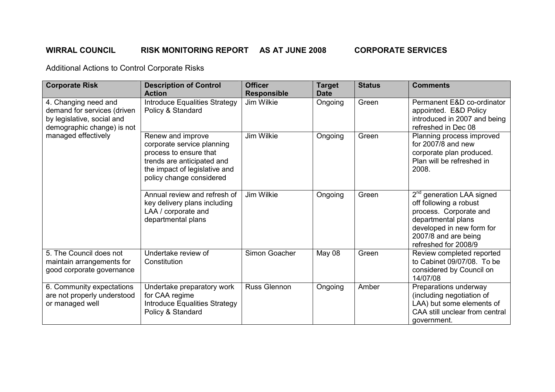# WIRRAL COUNCIL RISK MONITORING REPORT AS AT JUNE 2008 CORPORATE SERVICES

| <b>Corporate Risk</b>                                                                                           | <b>Description of Control</b><br><b>Action</b>                                                                                                                       | <b>Officer</b><br><b>Responsible</b> | <b>Target</b><br><b>Date</b> | <b>Status</b> | <b>Comments</b>                                                                                                                                                                    |
|-----------------------------------------------------------------------------------------------------------------|----------------------------------------------------------------------------------------------------------------------------------------------------------------------|--------------------------------------|------------------------------|---------------|------------------------------------------------------------------------------------------------------------------------------------------------------------------------------------|
| 4. Changing need and<br>demand for services (driven<br>by legislative, social and<br>demographic change) is not | <b>Introduce Equalities Strategy</b><br>Policy & Standard                                                                                                            | <b>Jim Wilkie</b>                    | Ongoing                      | Green         | Permanent E&D co-ordinator<br>appointed. E&D Policy<br>introduced in 2007 and being<br>refreshed in Dec 08                                                                         |
| managed effectively                                                                                             | Renew and improve<br>corporate service planning<br>process to ensure that<br>trends are anticipated and<br>the impact of legislative and<br>policy change considered | Jim Wilkie                           | Ongoing                      | Green         | Planning process improved<br>for $2007/8$ and new<br>corporate plan produced.<br>Plan will be refreshed in<br>2008.                                                                |
|                                                                                                                 | Annual review and refresh of<br>key delivery plans including<br>LAA / corporate and<br>departmental plans                                                            | Jim Wilkie                           | Ongoing                      | Green         | $2nd$ generation LAA signed<br>off following a robust<br>process. Corporate and<br>departmental plans<br>developed in new form for<br>2007/8 and are being<br>refreshed for 2008/9 |
| 5. The Council does not<br>maintain arrangements for<br>good corporate governance                               | Undertake review of<br>Constitution                                                                                                                                  | Simon Goacher                        | May 08                       | Green         | Review completed reported<br>to Cabinet 09/07/08. To be<br>considered by Council on<br>14/07/08                                                                                    |
| 6. Community expectations<br>are not properly understood<br>or managed well                                     | Undertake preparatory work<br>for CAA regime<br>Introduce Equalities Strategy<br>Policy & Standard                                                                   | Russ Glennon                         | Ongoing                      | Amber         | Preparations underway<br>(including negotiation of<br>LAA) but some elements of<br>CAA still unclear from central<br>government.                                                   |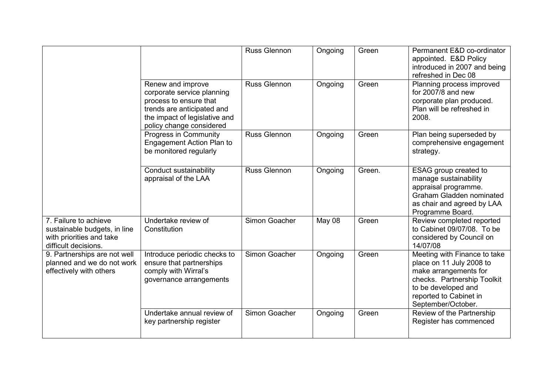|                                                                                                           |                                                                                                                                                                      | <b>Russ Glennon</b> | Ongoing | Green  | Permanent E&D co-ordinator<br>appointed. E&D Policy<br>introduced in 2007 and being<br>refreshed in Dec 08                                                                              |
|-----------------------------------------------------------------------------------------------------------|----------------------------------------------------------------------------------------------------------------------------------------------------------------------|---------------------|---------|--------|-----------------------------------------------------------------------------------------------------------------------------------------------------------------------------------------|
|                                                                                                           | Renew and improve<br>corporate service planning<br>process to ensure that<br>trends are anticipated and<br>the impact of legislative and<br>policy change considered | <b>Russ Glennon</b> | Ongoing | Green  | Planning process improved<br>for $2007/8$ and new<br>corporate plan produced.<br>Plan will be refreshed in<br>2008.                                                                     |
|                                                                                                           | Progress in Community<br>Engagement Action Plan to<br>be monitored regularly                                                                                         | <b>Russ Glennon</b> | Ongoing | Green  | Plan being superseded by<br>comprehensive engagement<br>strategy.                                                                                                                       |
|                                                                                                           | Conduct sustainability<br>appraisal of the LAA                                                                                                                       | <b>Russ Glennon</b> | Ongoing | Green. | ESAG group created to<br>manage sustainability<br>appraisal programme.<br><b>Graham Gladden nominated</b><br>as chair and agreed by LAA<br>Programme Board.                             |
| 7. Failure to achieve<br>sustainable budgets, in line<br>with priorities and take<br>difficult decisions. | Undertake review of<br>Constitution                                                                                                                                  | Simon Goacher       | May 08  | Green  | Review completed reported<br>to Cabinet 09/07/08. To be<br>considered by Council on<br>14/07/08                                                                                         |
| 9. Partnerships are not well<br>planned and we do not work<br>effectively with others                     | Introduce periodic checks to<br>ensure that partnerships<br>comply with Wirral's<br>governance arrangements                                                          | Simon Goacher       | Ongoing | Green  | Meeting with Finance to take<br>place on 11 July 2008 to<br>make arrangements for<br>checks. Partnership Toolkit<br>to be developed and<br>reported to Cabinet in<br>September/October. |
|                                                                                                           | Undertake annual review of<br>key partnership register                                                                                                               | Simon Goacher       | Ongoing | Green  | Review of the Partnership<br>Register has commenced                                                                                                                                     |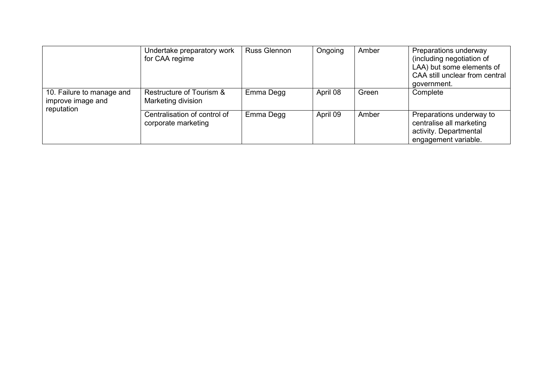|                                                              | Undertake preparatory work<br>for CAA regime        | <b>Russ Glennon</b> | Ongoing  | Amber | Preparations underway<br>(including negotiation of<br>LAA) but some elements of<br>CAA still unclear from central<br>government. |
|--------------------------------------------------------------|-----------------------------------------------------|---------------------|----------|-------|----------------------------------------------------------------------------------------------------------------------------------|
| 10. Failure to manage and<br>improve image and<br>reputation | Restructure of Tourism &<br>Marketing division      | Emma Degg           | April 08 | Green | Complete                                                                                                                         |
|                                                              | Centralisation of control of<br>corporate marketing | Emma Degg           | April 09 | Amber | Preparations underway to<br>centralise all marketing<br>activity. Departmental<br>engagement variable.                           |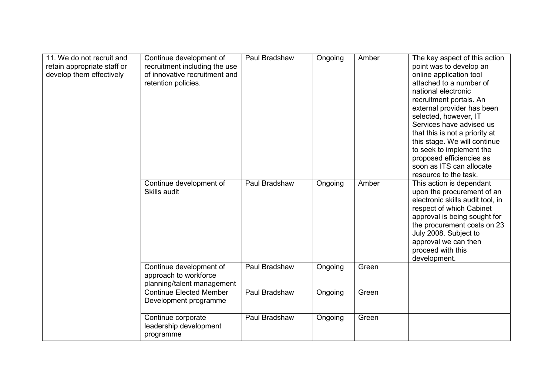| 11. We do not recruit and<br>retain appropriate staff or<br>develop them effectively | Continue development of<br>recruitment including the use<br>of innovative recruitment and<br>retention policies. | Paul Bradshaw | Ongoing | Amber | The key aspect of this action<br>point was to develop an<br>online application tool<br>attached to a number of<br>national electronic<br>recruitment portals. An<br>external provider has been<br>selected, however, IT<br>Services have advised us<br>that this is not a priority at<br>this stage. We will continue<br>to seek to implement the<br>proposed efficiencies as<br>soon as ITS can allocate<br>resource to the task. |
|--------------------------------------------------------------------------------------|------------------------------------------------------------------------------------------------------------------|---------------|---------|-------|------------------------------------------------------------------------------------------------------------------------------------------------------------------------------------------------------------------------------------------------------------------------------------------------------------------------------------------------------------------------------------------------------------------------------------|
|                                                                                      | Continue development of<br>Skills audit                                                                          | Paul Bradshaw | Ongoing | Amber | This action is dependant<br>upon the procurement of an<br>electronic skills audit tool, in<br>respect of which Cabinet<br>approval is being sought for<br>the procurement costs on 23<br>July 2008. Subject to<br>approval we can then<br>proceed with this<br>development.                                                                                                                                                        |
|                                                                                      | Continue development of<br>approach to workforce<br>planning/talent management                                   | Paul Bradshaw | Ongoing | Green |                                                                                                                                                                                                                                                                                                                                                                                                                                    |
|                                                                                      | <b>Continue Elected Member</b><br>Development programme                                                          | Paul Bradshaw | Ongoing | Green |                                                                                                                                                                                                                                                                                                                                                                                                                                    |
|                                                                                      | Continue corporate<br>leadership development<br>programme                                                        | Paul Bradshaw | Ongoing | Green |                                                                                                                                                                                                                                                                                                                                                                                                                                    |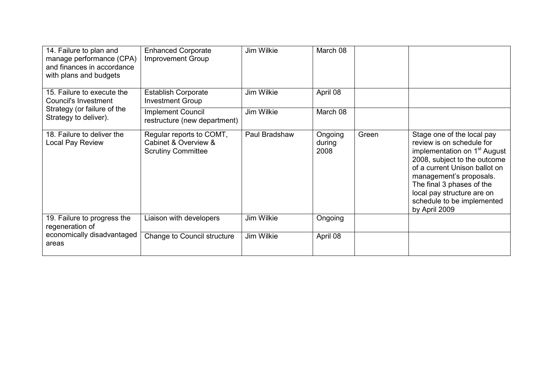| 14. Failure to plan and<br>manage performance (CPA)<br>and finances in accordance<br>with plans and budgets | <b>Enhanced Corporate</b><br>Improvement Group                                | Jim Wilkie    | March 08                  |       |                                                                                                                                                                                                                                                                                                           |
|-------------------------------------------------------------------------------------------------------------|-------------------------------------------------------------------------------|---------------|---------------------------|-------|-----------------------------------------------------------------------------------------------------------------------------------------------------------------------------------------------------------------------------------------------------------------------------------------------------------|
| 15. Failure to execute the<br>Council's Investment                                                          | <b>Establish Corporate</b><br><b>Investment Group</b>                         | Jim Wilkie    | April 08                  |       |                                                                                                                                                                                                                                                                                                           |
| Strategy (or failure of the<br>Strategy to deliver).                                                        | <b>Implement Council</b><br>restructure (new department)                      | Jim Wilkie    | March 08                  |       |                                                                                                                                                                                                                                                                                                           |
| 18. Failure to deliver the<br>Local Pay Review                                                              | Regular reports to COMT,<br>Cabinet & Overview &<br><b>Scrutiny Committee</b> | Paul Bradshaw | Ongoing<br>during<br>2008 | Green | Stage one of the local pay<br>review is on schedule for<br>implementation on 1 <sup>st</sup> August<br>2008, subject to the outcome<br>of a current Unison ballot on<br>management's proposals.<br>The final 3 phases of the<br>local pay structure are on<br>schedule to be implemented<br>by April 2009 |
| 19. Failure to progress the<br>regeneration of                                                              | Liaison with developers                                                       | Jim Wilkie    | Ongoing                   |       |                                                                                                                                                                                                                                                                                                           |
| economically disadvantaged<br>areas                                                                         | Change to Council structure                                                   | Jim Wilkie    | April 08                  |       |                                                                                                                                                                                                                                                                                                           |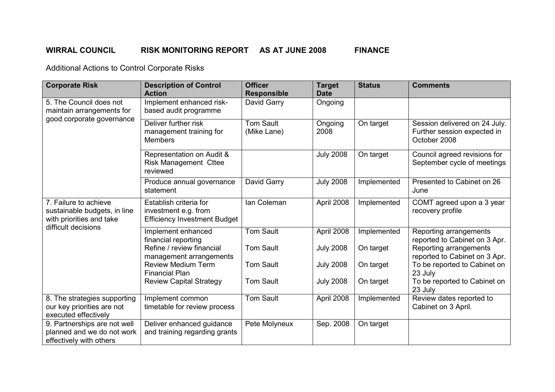# WIRRAL COUNCIL RISK MONITORING REPORT AS AT JUNE 2008 FINANCE

| <b>Corporate Risk</b>                                                                                    | <b>Description of Control</b><br><b>Action</b>                                        | <b>Officer</b><br><b>Responsible</b> | <b>Target</b><br><b>Date</b> | <b>Status</b> | <b>Comments</b>                                                              |
|----------------------------------------------------------------------------------------------------------|---------------------------------------------------------------------------------------|--------------------------------------|------------------------------|---------------|------------------------------------------------------------------------------|
| 5. The Council does not<br>maintain arrangements for<br>good corporate governance                        | Implement enhanced risk-<br>based audit programme                                     | David Garry                          | Ongoing                      |               |                                                                              |
|                                                                                                          | Deliver further risk<br>management training for<br><b>Members</b>                     | <b>Tom Sault</b><br>(Mike Lane)      | Ongoing<br>2008              | On target     | Session delivered on 24 July.<br>Further session expected in<br>October 2008 |
|                                                                                                          | Representation on Audit &<br><b>Risk Management Cttee</b><br>reviewed                 |                                      | <b>July 2008</b>             | On target     | Council agreed revisions for<br>September cycle of meetings                  |
|                                                                                                          | Produce annual governance<br>statement                                                | David Garry                          | <b>July 2008</b>             | Implemented   | Presented to Cabinet on 26<br>June                                           |
| 7. Failure to achieve<br>sustainable budgets, in line<br>with priorities and take<br>difficult decisions | Establish criteria for<br>investment e.g. from<br><b>Efficiency Investment Budget</b> | Ian Coleman                          | April 2008                   | Implemented   | COMT agreed upon a 3 year<br>recovery profile                                |
|                                                                                                          | Implement enhanced<br>financial reporting                                             | <b>Tom Sault</b>                     | April 2008                   | Implemented   | Reporting arrangements<br>reported to Cabinet on 3 Apr.                      |
|                                                                                                          | Refine / review financial<br>management arrangements                                  | <b>Tom Sault</b>                     | <b>July 2008</b>             | On target     | Reporting arrangements<br>reported to Cabinet on 3 Apr.                      |
|                                                                                                          | <b>Review Medium Term</b><br><b>Financial Plan</b>                                    | <b>Tom Sault</b>                     | <b>July 2008</b>             | On target     | To be reported to Cabinet on<br>23 July                                      |
|                                                                                                          | <b>Review Capital Strategy</b>                                                        | <b>Tom Sault</b>                     | <b>July 2008</b>             | On target     | To be reported to Cabinet on<br>23 July                                      |
| 8. The strategies supporting<br>our key priorities are not<br>executed effectively                       | Implement common<br>timetable for review process                                      | <b>Tom Sault</b>                     | April 2008                   | Implemented   | Review dates reported to<br>Cabinet on 3 April.                              |
| 9. Partnerships are not well<br>planned and we do not work<br>effectively with others                    | Deliver enhanced guidance<br>and training regarding grants                            | Pete Molyneux                        | Sep. 2008                    | On target     |                                                                              |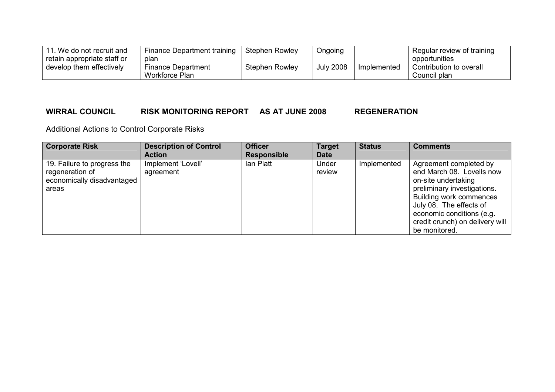| 11. We do not recruit and   | Finance Department training | Stephen Rowley | Ongoing          |             | Regular review of training |
|-----------------------------|-----------------------------|----------------|------------------|-------------|----------------------------|
| retain appropriate staff or | plan                        |                |                  |             | opportunities              |
| develop them effectively    | Finance Department          | Stephen Rowley | <b>July 2008</b> | Implemented | Contribution to overall    |
|                             | Workforce Plan              |                |                  |             | Council plan               |

## WIRRAL COUNCIL RISK MONITORING REPORT AS AT JUNE 2008 REGENERATION

| <b>Corporate Risk</b>                                                                 | <b>Description of Control</b><br><b>Action</b> | <b>Officer</b><br><b>Responsible</b> | <b>Target</b><br><b>Date</b> | <b>Status</b> | <b>Comments</b>                                                                                                                                                                                                                                         |
|---------------------------------------------------------------------------------------|------------------------------------------------|--------------------------------------|------------------------------|---------------|---------------------------------------------------------------------------------------------------------------------------------------------------------------------------------------------------------------------------------------------------------|
| 19. Failure to progress the<br>regeneration of<br>economically disadvantaged<br>areas | Implement 'Lovell'<br>agreement                | lan Platt                            | Under<br>review              | Implemented   | Agreement completed by<br>end March 08. Lovells now<br>on-site undertaking<br>preliminary investigations.<br><b>Building work commences</b><br>July 08. The effects of<br>economic conditions (e.g.<br>credit crunch) on delivery will<br>be monitored. |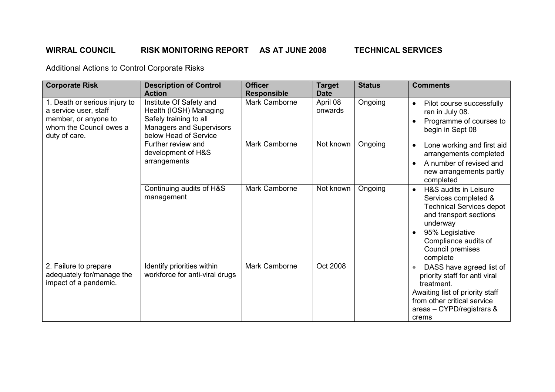# WIRRAL COUNCIL RISK MONITORING REPORT AS AT JUNE 2008 TECHNICAL SERVICES

| <b>Corporate Risk</b>                                                                                                      | <b>Description of Control</b><br><b>Action</b>                                                                                   | <b>Officer</b><br><b>Responsible</b> | <b>Target</b><br><b>Date</b> | <b>Status</b> | <b>Comments</b>                                                                                                                                                                                                |
|----------------------------------------------------------------------------------------------------------------------------|----------------------------------------------------------------------------------------------------------------------------------|--------------------------------------|------------------------------|---------------|----------------------------------------------------------------------------------------------------------------------------------------------------------------------------------------------------------------|
| 1. Death or serious injury to<br>a service user, staff<br>member, or anyone to<br>whom the Council owes a<br>duty of care. | Institute Of Safety and<br>Health (IOSH) Managing<br>Safely training to all<br>Managers and Supervisors<br>below Head of Service | Mark Camborne                        | April 08<br>onwards          | Ongoing       | Pilot course successfully<br>$\bullet$<br>ran in July 08.<br>Programme of courses to<br>begin in Sept 08                                                                                                       |
|                                                                                                                            | Further review and<br>development of H&S<br>arrangements                                                                         | Mark Camborne                        | Not known                    | Ongoing       | Lone working and first aid<br>$\bullet$<br>arrangements completed<br>A number of revised and<br>new arrangements partly<br>completed                                                                           |
|                                                                                                                            | Continuing audits of H&S<br>management                                                                                           | Mark Camborne                        | Not known                    | Ongoing       | H&S audits in Leisure<br>$\bullet$<br>Services completed &<br><b>Technical Services depot</b><br>and transport sections<br>underway<br>95% Legislative<br>Compliance audits of<br>Council premises<br>complete |
| 2. Failure to prepare<br>adequately for/manage the<br>impact of a pandemic.                                                | Identify priorities within<br>workforce for anti-viral drugs                                                                     | Mark Camborne                        | Oct 2008                     |               | DASS have agreed list of<br>priority staff for anti viral<br>treatment.<br>Awaiting list of priority staff<br>from other critical service<br>areas - CYPD/registrars &<br>crems                                |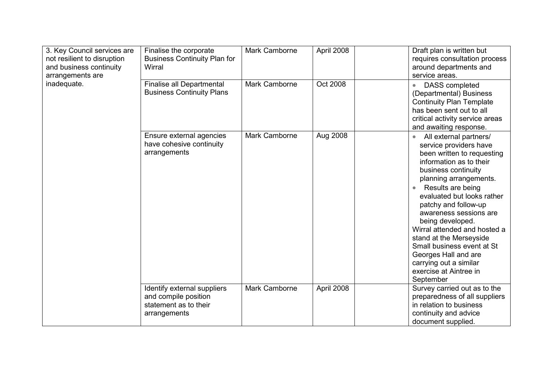| 3. Key Council services are<br>not resilient to disruption<br>and business continuity<br>arrangements are<br>inadequate. | Finalise the corporate<br><b>Business Continuity Plan for</b><br>Wirral                      | Mark Camborne | April 2008 | Draft plan is written but<br>requires consultation process<br>around departments and<br>service areas.                                                                                                                                                                                                                                                                                                                                                                                          |
|--------------------------------------------------------------------------------------------------------------------------|----------------------------------------------------------------------------------------------|---------------|------------|-------------------------------------------------------------------------------------------------------------------------------------------------------------------------------------------------------------------------------------------------------------------------------------------------------------------------------------------------------------------------------------------------------------------------------------------------------------------------------------------------|
|                                                                                                                          | <b>Finalise all Departmental</b><br><b>Business Continuity Plans</b>                         | Mark Camborne | Oct 2008   | DASS completed<br>$\bullet$<br>(Departmental) Business<br><b>Continuity Plan Template</b><br>has been sent out to all<br>critical activity service areas<br>and awaiting response.                                                                                                                                                                                                                                                                                                              |
|                                                                                                                          | Ensure external agencies<br>have cohesive continuity<br>arrangements                         | Mark Camborne | Aug 2008   | All external partners/<br>$\bullet$<br>service providers have<br>been written to requesting<br>information as to their<br>business continuity<br>planning arrangements.<br>Results are being<br>$\bullet$<br>evaluated but looks rather<br>patchy and follow-up<br>awareness sessions are<br>being developed.<br>Wirral attended and hosted a<br>stand at the Merseyside<br>Small business event at St<br>Georges Hall and are<br>carrying out a similar<br>exercise at Aintree in<br>September |
|                                                                                                                          | Identify external suppliers<br>and compile position<br>statement as to their<br>arrangements | Mark Camborne | April 2008 | Survey carried out as to the<br>preparedness of all suppliers<br>in relation to business<br>continuity and advice<br>document supplied.                                                                                                                                                                                                                                                                                                                                                         |